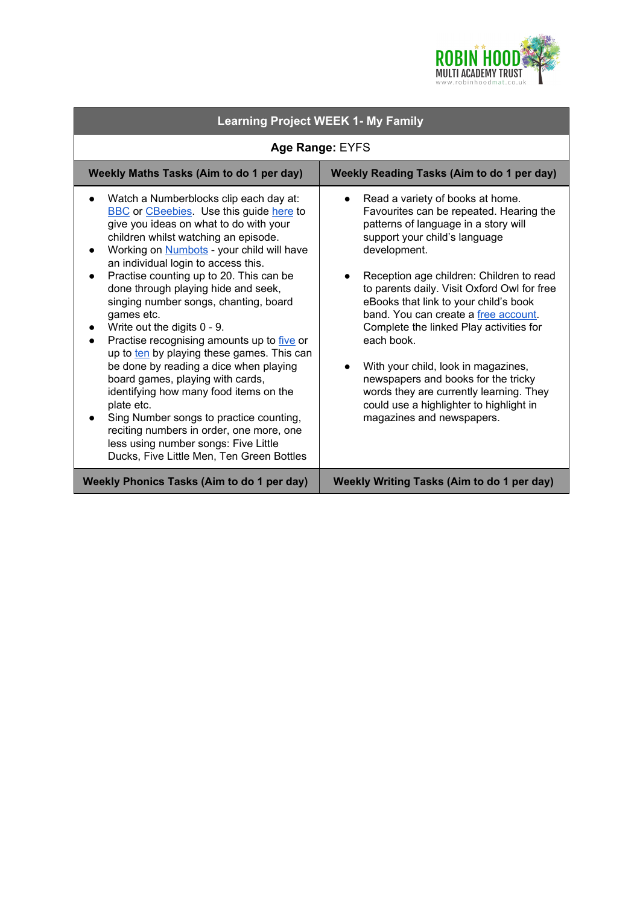

| <b>Learning Project WEEK 1- My Family</b>                                                                                                                                                                                                                                                                                                                                                                                                                                                                                                                                                                                                                                                                                                                                                                                                                   |                                                                                                                                                                                                                                                                                                                                                                                                                                                                                                                                                                                                            |
|-------------------------------------------------------------------------------------------------------------------------------------------------------------------------------------------------------------------------------------------------------------------------------------------------------------------------------------------------------------------------------------------------------------------------------------------------------------------------------------------------------------------------------------------------------------------------------------------------------------------------------------------------------------------------------------------------------------------------------------------------------------------------------------------------------------------------------------------------------------|------------------------------------------------------------------------------------------------------------------------------------------------------------------------------------------------------------------------------------------------------------------------------------------------------------------------------------------------------------------------------------------------------------------------------------------------------------------------------------------------------------------------------------------------------------------------------------------------------------|
| Age Range: EYFS                                                                                                                                                                                                                                                                                                                                                                                                                                                                                                                                                                                                                                                                                                                                                                                                                                             |                                                                                                                                                                                                                                                                                                                                                                                                                                                                                                                                                                                                            |
| Weekly Maths Tasks (Aim to do 1 per day)                                                                                                                                                                                                                                                                                                                                                                                                                                                                                                                                                                                                                                                                                                                                                                                                                    | <b>Weekly Reading Tasks (Aim to do 1 per day)</b>                                                                                                                                                                                                                                                                                                                                                                                                                                                                                                                                                          |
| Watch a Numberblocks clip each day at:<br><b>BBC</b> or CBeebies. Use this guide here to<br>give you ideas on what to do with your<br>children whilst watching an episode.<br>Working on <b>Numbots</b> - your child will have<br>an individual login to access this.<br>Practise counting up to 20. This can be<br>done through playing hide and seek,<br>singing number songs, chanting, board<br>games etc.<br>Write out the digits 0 - 9.<br>Practise recognising amounts up to five or<br>up to ten by playing these games. This can<br>be done by reading a dice when playing<br>board games, playing with cards,<br>identifying how many food items on the<br>plate etc.<br>Sing Number songs to practice counting,<br>reciting numbers in order, one more, one<br>less using number songs: Five Little<br>Ducks, Five Little Men, Ten Green Bottles | Read a variety of books at home.<br>Favourites can be repeated. Hearing the<br>patterns of language in a story will<br>support your child's language<br>development.<br>Reception age children: Children to read<br>to parents daily. Visit Oxford Owl for free<br>eBooks that link to your child's book<br>band. You can create a free account.<br>Complete the linked Play activities for<br>each book.<br>With your child, look in magazines,<br>newspapers and books for the tricky<br>words they are currently learning. They<br>could use a highlighter to highlight in<br>magazines and newspapers. |
| <b>Weekly Phonics Tasks (Aim to do 1 per day)</b>                                                                                                                                                                                                                                                                                                                                                                                                                                                                                                                                                                                                                                                                                                                                                                                                           | <b>Weekly Writing Tasks (Aim to do 1 per day)</b>                                                                                                                                                                                                                                                                                                                                                                                                                                                                                                                                                          |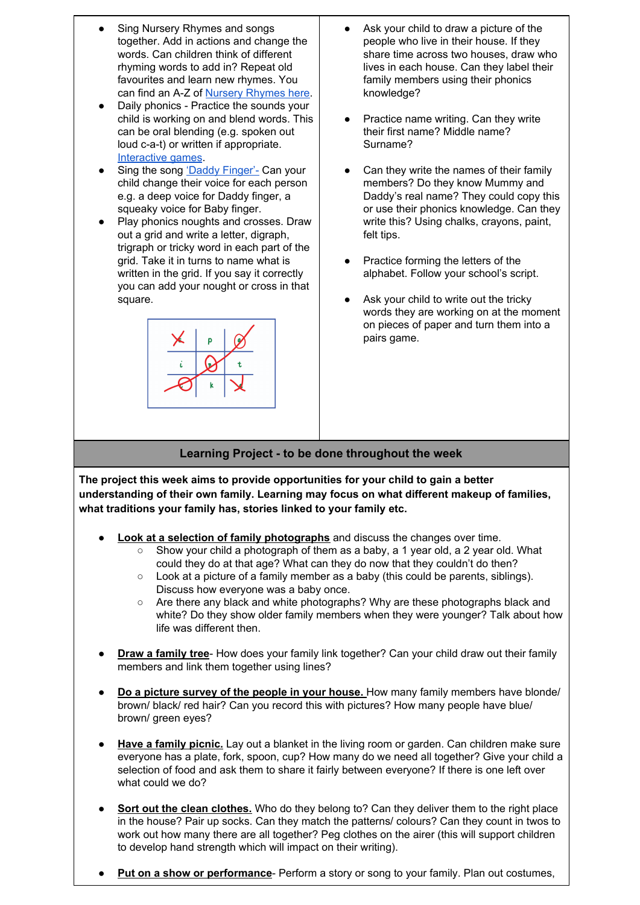- **Sing Nursery Rhymes and songs** together. Add in actions and change the words. Can children think of different rhyming words to add in? Repeat old favourites and learn new rhymes. You can find an A-Z of Nursery [Rhymes](https://allnurseryrhymes.com/) here.
- Daily phonics Practice the sounds your child is working on and blend words. This can be oral blending (e.g. spoken out loud c-a-t) or written if appropriate. [Interactive](https://www.phonicsplay.co.uk/) games.
- Sing the song 'Daddy [Finger'-](https://www.youtube.com/watch?v=YJyNoFkud6g) Can your child change their voice for each person e.g. a deep voice for Daddy finger, a squeaky voice for Baby finger.
- Play phonics noughts and crosses. Draw out a grid and write a letter, digraph, trigraph or tricky word in each part of the grid. Take it in turns to name what is written in the grid. If you say it correctly you can add your nought or cross in that square.



- Ask your child to draw a picture of the people who live in their house. If they share time across two houses, draw who lives in each house. Can they label their family members using their phonics knowledge?
- Practice name writing. Can they write their first name? Middle name? Surname?
- Can they write the names of their family members? Do they know Mummy and Daddy's real name? They could copy this or use their phonics knowledge. Can they write this? Using chalks, crayons, paint, felt tips.
- Practice forming the letters of the alphabet. Follow your school's script.
- Ask your child to write out the tricky words they are working on at the moment on pieces of paper and turn them into a pairs game.

## **Learning Project - to be done throughout the week**

**The project this week aims to provide opportunities for your child to gain a better understanding of their own family. Learning may focus on what different makeup of families, what traditions your family has, stories linked to your family etc.**

- **Look at a selection of family photographs** and discuss the changes over time.
	- $\circ$  Show your child a photograph of them as a baby, a 1 year old, a 2 year old. What could they do at that age? What can they do now that they couldn't do then?
	- Look at a picture of a family member as a baby (this could be parents, siblings). Discuss how everyone was a baby once.
	- Are there any black and white photographs? Why are these photographs black and white? Do they show older family members when they were younger? Talk about how life was different then.
- **Draw a family tree** How does your family link together? Can your child draw out their family members and link them together using lines?
- **Do a picture survey of the people in your house.** How many family members have blonde/ brown/ black/ red hair? Can you record this with pictures? How many people have blue/ brown/ green eyes?
- **Have a family picnic.** Lay out a blanket in the living room or garden. Can children make sure everyone has a plate, fork, spoon, cup? How many do we need all together? Give your child a selection of food and ask them to share it fairly between everyone? If there is one left over what could we do?
- **Sort out the clean clothes.** Who do they belong to? Can they deliver them to the right place in the house? Pair up socks. Can they match the patterns/ colours? Can they count in twos to work out how many there are all together? Peg clothes on the airer (this will support children to develop hand strength which will impact on their writing).
- **Put on a show or performance** Perform a story or song to your family. Plan out costumes,